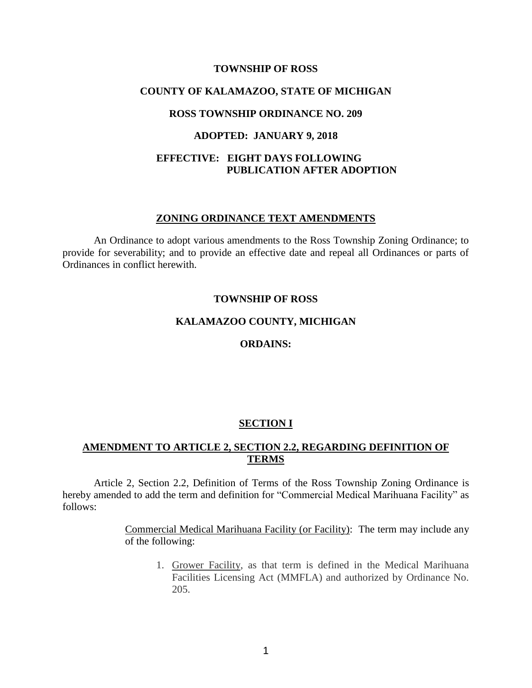#### **TOWNSHIP OF ROSS**

# **COUNTY OF KALAMAZOO, STATE OF MICHIGAN**

## **ROSS TOWNSHIP ORDINANCE NO. 209**

#### **ADOPTED: JANUARY 9, 2018**

# **EFFECTIVE: EIGHT DAYS FOLLOWING PUBLICATION AFTER ADOPTION**

#### **ZONING ORDINANCE TEXT AMENDMENTS**

An Ordinance to adopt various amendments to the Ross Township Zoning Ordinance; to provide for severability; and to provide an effective date and repeal all Ordinances or parts of Ordinances in conflict herewith.

#### **TOWNSHIP OF ROSS**

# **KALAMAZOO COUNTY, MICHIGAN**

## **ORDAINS:**

#### **SECTION I**

# **AMENDMENT TO ARTICLE 2, SECTION 2.2, REGARDING DEFINITION OF TERMS**

Article 2, Section 2.2, Definition of Terms of the Ross Township Zoning Ordinance is hereby amended to add the term and definition for "Commercial Medical Marihuana Facility" as follows:

> Commercial Medical Marihuana Facility (or Facility): The term may include any of the following:

1. Grower Facility, as that term is defined in the Medical Marihuana Facilities Licensing Act (MMFLA) and authorized by Ordinance No. 205.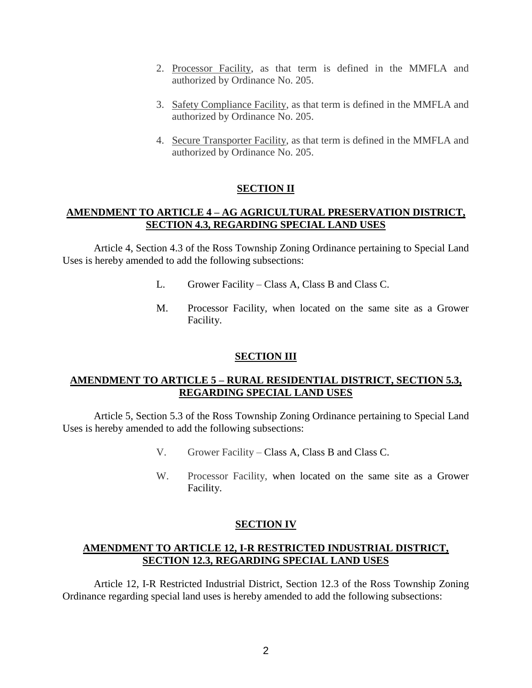- 2. Processor Facility, as that term is defined in the MMFLA and authorized by Ordinance No. 205.
- 3. Safety Compliance Facility, as that term is defined in the MMFLA and authorized by Ordinance No. 205.
- 4. Secure Transporter Facility, as that term is defined in the MMFLA and authorized by Ordinance No. 205.

# **SECTION II**

# **AMENDMENT TO ARTICLE 4 – AG AGRICULTURAL PRESERVATION DISTRICT, SECTION 4.3, REGARDING SPECIAL LAND USES**

Article 4, Section 4.3 of the Ross Township Zoning Ordinance pertaining to Special Land Uses is hereby amended to add the following subsections:

- L. Grower Facility Class A, Class B and Class C.
- M. Processor Facility, when located on the same site as a Grower Facility.

# **SECTION III**

# **AMENDMENT TO ARTICLE 5 – RURAL RESIDENTIAL DISTRICT, SECTION 5.3, REGARDING SPECIAL LAND USES**

Article 5, Section 5.3 of the Ross Township Zoning Ordinance pertaining to Special Land Uses is hereby amended to add the following subsections:

- V. Grower Facility Class A, Class B and Class C.
- W. Processor Facility, when located on the same site as a Grower Facility.

# **SECTION IV**

# **AMENDMENT TO ARTICLE 12, I-R RESTRICTED INDUSTRIAL DISTRICT, SECTION 12.3, REGARDING SPECIAL LAND USES**

Article 12, I-R Restricted Industrial District, Section 12.3 of the Ross Township Zoning Ordinance regarding special land uses is hereby amended to add the following subsections: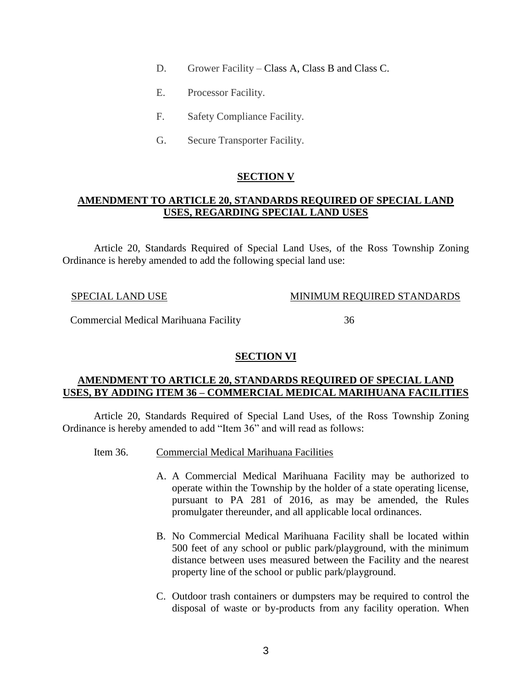- D. Grower Facility Class A, Class B and Class C.
- E. Processor Facility.
- F. Safety Compliance Facility.
- G. Secure Transporter Facility.

# **SECTION V**

# **AMENDMENT TO ARTICLE 20, STANDARDS REQUIRED OF SPECIAL LAND USES, REGARDING SPECIAL LAND USES**

Article 20, Standards Required of Special Land Uses, of the Ross Township Zoning Ordinance is hereby amended to add the following special land use:

## SPECIAL LAND USE MINIMUM REQUIRED STANDARDS

Commercial Medical Marihuana Facility 36

# **SECTION VI**

# **AMENDMENT TO ARTICLE 20, STANDARDS REQUIRED OF SPECIAL LAND USES, BY ADDING ITEM 36 – COMMERCIAL MEDICAL MARIHUANA FACILITIES**

Article 20, Standards Required of Special Land Uses, of the Ross Township Zoning Ordinance is hereby amended to add "Item 36" and will read as follows:

- Item 36. Commercial Medical Marihuana Facilities
	- A. A Commercial Medical Marihuana Facility may be authorized to operate within the Township by the holder of a state operating license, pursuant to PA 281 of 2016, as may be amended, the Rules promulgater thereunder, and all applicable local ordinances.
	- B. No Commercial Medical Marihuana Facility shall be located within 500 feet of any school or public park/playground, with the minimum distance between uses measured between the Facility and the nearest property line of the school or public park/playground.
	- C. Outdoor trash containers or dumpsters may be required to control the disposal of waste or by-products from any facility operation. When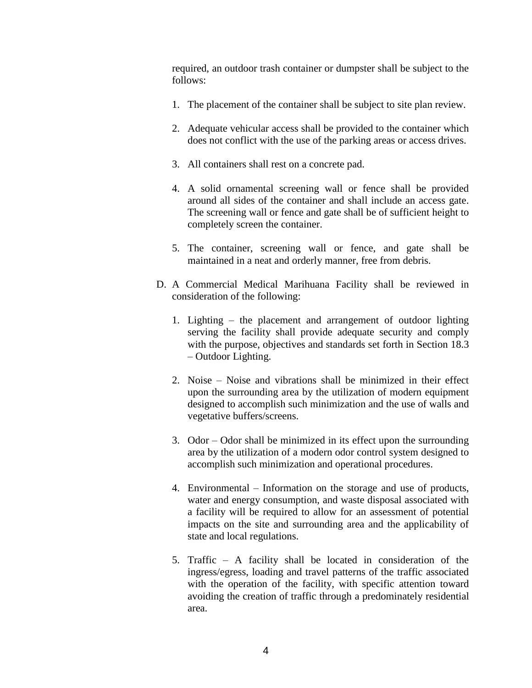required, an outdoor trash container or dumpster shall be subject to the follows:

- 1. The placement of the container shall be subject to site plan review.
- 2. Adequate vehicular access shall be provided to the container which does not conflict with the use of the parking areas or access drives.
- 3. All containers shall rest on a concrete pad.
- 4. A solid ornamental screening wall or fence shall be provided around all sides of the container and shall include an access gate. The screening wall or fence and gate shall be of sufficient height to completely screen the container.
- 5. The container, screening wall or fence, and gate shall be maintained in a neat and orderly manner, free from debris.
- D. A Commercial Medical Marihuana Facility shall be reviewed in consideration of the following:
	- 1. Lighting the placement and arrangement of outdoor lighting serving the facility shall provide adequate security and comply with the purpose, objectives and standards set forth in Section 18.3 – Outdoor Lighting.
	- 2. Noise Noise and vibrations shall be minimized in their effect upon the surrounding area by the utilization of modern equipment designed to accomplish such minimization and the use of walls and vegetative buffers/screens.
	- 3. Odor Odor shall be minimized in its effect upon the surrounding area by the utilization of a modern odor control system designed to accomplish such minimization and operational procedures.
	- 4. Environmental Information on the storage and use of products, water and energy consumption, and waste disposal associated with a facility will be required to allow for an assessment of potential impacts on the site and surrounding area and the applicability of state and local regulations.
	- 5. Traffic A facility shall be located in consideration of the ingress/egress, loading and travel patterns of the traffic associated with the operation of the facility, with specific attention toward avoiding the creation of traffic through a predominately residential area.